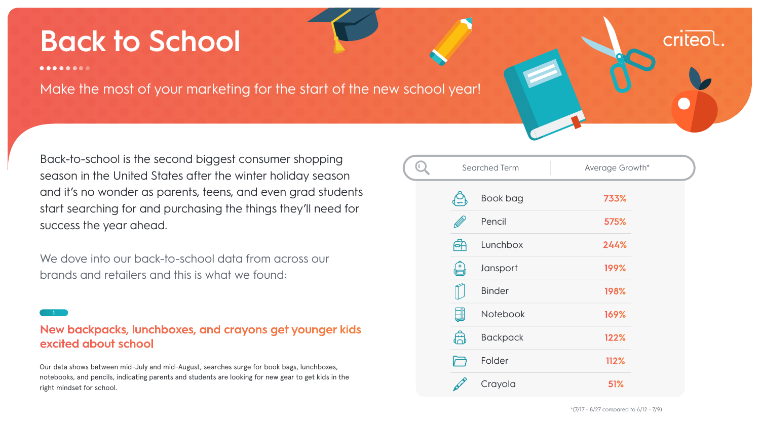Back-to-school is the second biggest consumer shopping season in the United States after the winter holiday season and it's no wonder as parents, teens, and even grad students start searching for and purchasing the things they'll need for success the year ahead.

We dove into our back-to-school data from across our brands and retailers and this is what we found:

# **Back to School**

 $0 0 0 0 0 0 0 0$ 

Make the most of your marketing for the start of the new school year!

Our data shows between mid-July and mid-August, searches surge for book bags, lunchboxes, notebooks, and pencils, indicating parents and students are looking for new gear to get kids in the right mindset for school.

## New backpacks, lunchboxes, and crayons get younger kids excited about school

|           | <b>Searched Term</b> | Average Growth* |  |  |
|-----------|----------------------|-----------------|--|--|
|           | Book bag             | 733%            |  |  |
|           | Pencil               | 575%            |  |  |
| FF        | Lunchbox             | 244%            |  |  |
| $\bullet$ | Jansport             | 199%            |  |  |
|           | <b>Binder</b>        | 198%            |  |  |
| ▟╢        | Notebook             | 169%            |  |  |
| $\sim$    | <b>Backpack</b>      | 122%            |  |  |
|           | Folder               | 112%            |  |  |
|           | Crayola              | 51%             |  |  |

 $*(7/17 - 8/27$  compared to  $6/12 - 7/9)$ 



**<sup>1</sup>**